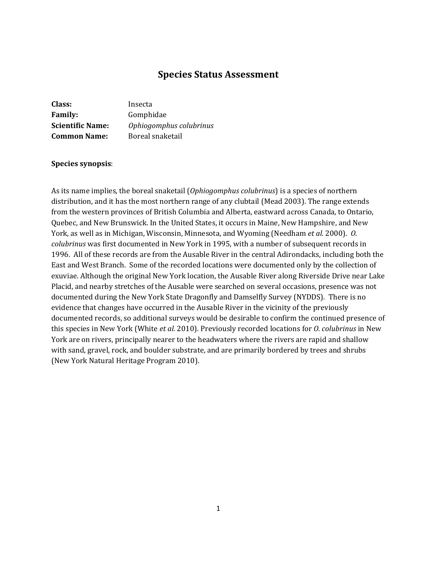# **Species Status Assessment**

| Class:                  | Insecta                 |
|-------------------------|-------------------------|
| <b>Family:</b>          | Gomphidae               |
| <b>Scientific Name:</b> | Ophiogomphus colubrinus |
| <b>Common Name:</b>     | Boreal snaketail        |

#### **Species synopsis**:

As its name implies, the boreal snaketail (*Ophiogomphus colubrinus*) is a species of northern distribution, and it has the most northern range of any clubtail (Mead 2003). The range extends from the western provinces of British Columbia and Alberta, eastward across Canada, to Ontario, Quebec, and New Brunswick. In the United States, it occurs in Maine, New Hampshire, and New York, as well as in Michigan, Wisconsin, Minnesota, and Wyoming (Needham *et al.* 2000). *O. colubrinus* was first documented in New York in 1995, with a number of subsequent records in 1996. All of these records are from the Ausable River in the central Adirondacks, including both the East and West Branch. Some of the recorded locations were documented only by the collection of exuviae. Although the original New York location, the Ausable River along Riverside Drive near Lake Placid, and nearby stretches of the Ausable were searched on several occasions, presence was not documented during the New York State Dragonfly and Damselfly Survey (NYDDS). There is no evidence that changes have occurred in the Ausable River in the vicinity of the previously documented records, so additional surveys would be desirable to confirm the continued presence of this species in New York (White *et al.* 2010). Previously recorded locations for *O. colubrinus* in New York are on rivers, principally nearer to the headwaters where the rivers are rapid and shallow with sand, gravel, rock, and boulder substrate, and are primarily bordered by trees and shrubs (New York Natural Heritage Program 2010).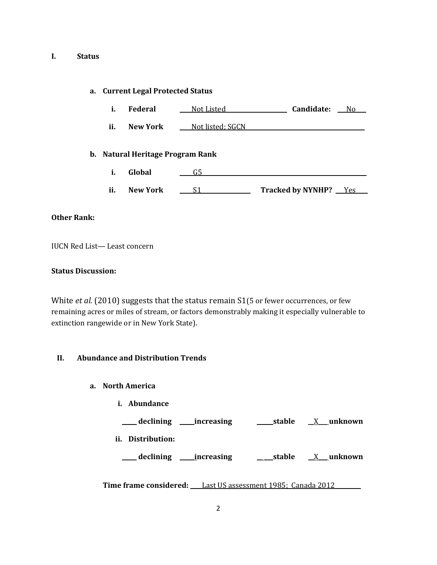### **I. Status**

### **a. Current Legal Protected Status**

**i. Global \_\_\_\_** G5 **\_\_\_\_\_\_\_**

| ī.  | <b>Federal</b>                   | <u>Not Listed</u> | Candidate:<br>No. |
|-----|----------------------------------|-------------------|-------------------|
| ii. | New York                         | Not listed; SGCN  |                   |
|     | b. Natural Heritage Program Rank |                   |                   |

**ii. New York \_\_\_\_** S1**\_\_\_ \_\_\_\_\_ Tracked by NYNHP? \_\_\_**Yes\_\_\_\_

### **Other Rank:**

IUCN Red List— Least concern

### **Status Discussion:**

White *et al.* (2010) suggests that the status remain S1(5 or fewer occurrences, or few remaining acres or miles of stream, or factors demonstrably making it especially vulnerable to extinction rangewide or in New York State).

### **II. Abundance and Distribution Trends**

- **a. North America**
	- **i. Abundance**

**\_\_\_\_\_ declining \_\_\_\_\_increasing \_\_ \_\_\_stable** \_\_X\_\_\_ **unknown ii. Distribution: \_\_\_\_\_ declining \_\_\_\_\_increasing \_\_ \_\_\_stable \_\_**X**\_\_\_ unknown**

**Time frame considered: \_\_\_\_**Last US assessment 1985; Canada 2012 **\_\_\_**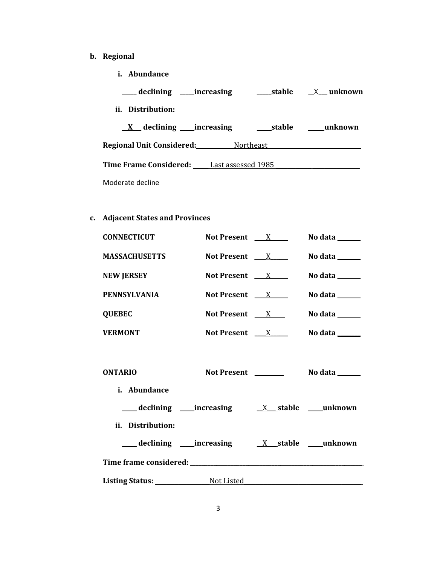- **b. Regional** 
	- **i. Abundance**

| declining _____increasing                        | stable | <u>X</u> unknown |
|--------------------------------------------------|--------|------------------|
| ii. Distribution:                                |        |                  |
| $\underline{X}$ declining _____ increasing       |        | stable unknown   |
| <b>Regional Unit Considered:</b> Northeast       |        |                  |
| <b>Time Frame Considered:</b> Last assessed 1985 |        |                  |
| Moderate decline                                 |        |                  |

**c. Adjacent States and Provinces**

| <b>CONNECTICUT</b>             | Not Present $X$                       | No data $\_\_\_\_\_\_\_\_\_\$   |
|--------------------------------|---------------------------------------|---------------------------------|
| <b>MASSACHUSETTS</b>           | Not Present $X$                       | No data $\_\_\_\_\_\_\_\_\_\_\$ |
| <b>NEW JERSEY</b>              | Not Present $X$                       | No data $\_\_\_\_\_\_\_\_\_\$   |
| <b>PENNSYLVANIA</b>            | Not Present $\quad$ X $\quad$         | No data $\_\_\_\_\_\_\_\_\_\$   |
| <b>QUEBEC</b>                  | Not Present $X_{\text{max}}$          | No data ______                  |
| <b>VERMONT</b>                 | Not Present $X$                       | No data _______                 |
| <b>ONTARIO</b><br>i. Abundance |                                       |                                 |
|                                | declining increasing X stable unknown |                                 |
| ii. Distribution:              | declining increasing X stable unknown |                                 |
|                                | Listing Status: Not Listed            |                                 |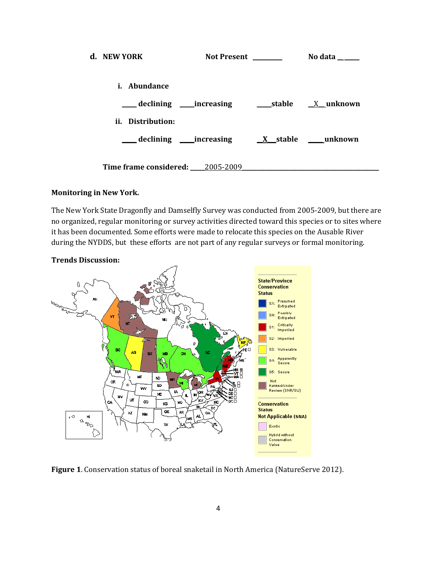| d. NEW YORK                      | <b>Not Present</b>                    | No data          |
|----------------------------------|---------------------------------------|------------------|
| i. Abundance                     |                                       |                  |
|                                  | declining _____increasing             | stable X unknown |
| ii. Distribution:                |                                       |                  |
|                                  | declining increasing X stable unknown |                  |
| Time frame considered: 2005-2009 |                                       |                  |

### **Monitoring in New York.**

The New York State Dragonfly and Damselfly Survey was conducted from 2005-2009, but there are no organized, regular monitoring or survey activities directed toward this species or to sites where it has been documented. Some efforts were made to relocate this species on the Ausable River during the NYDDS, but these efforts are not part of any regular surveys or formal monitoring.



**Figure 1**. Conservation status of boreal snaketail in North America (NatureServe 2012).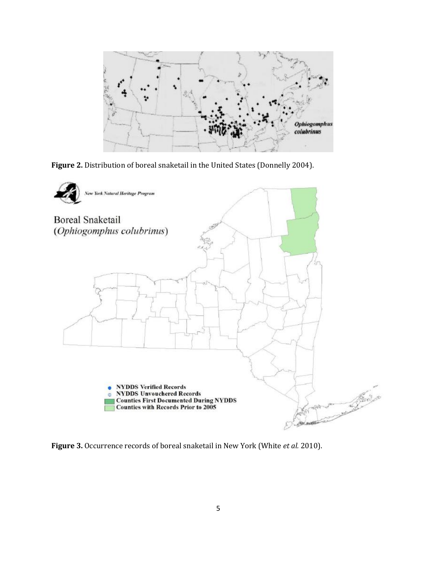

**Figure 2.** Distribution of boreal snaketail in the United States (Donnelly 2004).



**Figure 3.** Occurrence records of boreal snaketail in New York (White *et al.* 2010).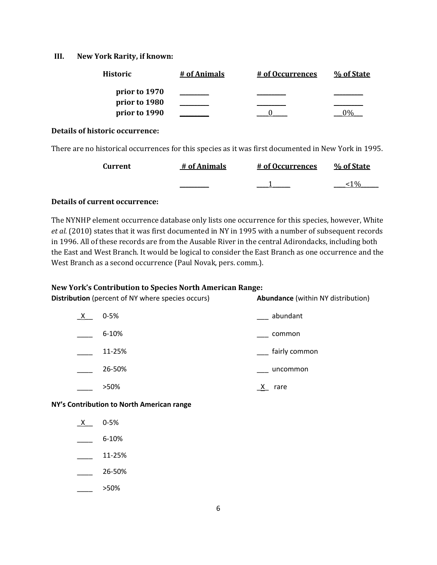### **III. New York Rarity, if known:**

| <b>Historic</b> | # of Animals | <u># of Occurrences</u> | % of State |
|-----------------|--------------|-------------------------|------------|
| prior to 1970   |              |                         |            |
| prior to 1980   |              |                         |            |
| prior to 1990   |              |                         |            |

#### **Details of historic occurrence:**

There are no historical occurrences for this species as it was first documented in New York in 1995.

| <b>Current</b> | # of Animals | # of Occurrences | % of State |
|----------------|--------------|------------------|------------|
|                |              |                  |            |

### **Details of current occurrence:**

The NYNHP element occurrence database only lists one occurrence for this species, however, White *et al.* (2010) states that it was first documented in NY in 1995 with a number of subsequent records in 1996. All of these records are from the Ausable River in the central Adirondacks, including both the East and West Branch. It would be logical to consider the East Branch as one occurrence and the West Branch as a second occurrence (Paul Novak, pers. comm.).

### **New York's Contribution to Species North American Range:**

| New TOTK's Contribution to species North American Kange.<br><b>Distribution</b> (percent of NY where species occurs) |           | <b>Abundance</b> (within NY distribution) |  |
|----------------------------------------------------------------------------------------------------------------------|-----------|-------------------------------------------|--|
| X                                                                                                                    | $0 - 5%$  | abundant                                  |  |
|                                                                                                                      | $6 - 10%$ | common                                    |  |
|                                                                                                                      | 11-25%    | fairly common                             |  |
|                                                                                                                      | 26-50%    | uncommon                                  |  |
|                                                                                                                      | >50%      | rare                                      |  |

**NY's Contribution to North American range**

 $X$  0-5%  $\frac{6-10\%}{2\%}$ 

- $\frac{11-25\%}{2}$
- \_\_\_\_ 26-50%
- \_\_\_\_ >50%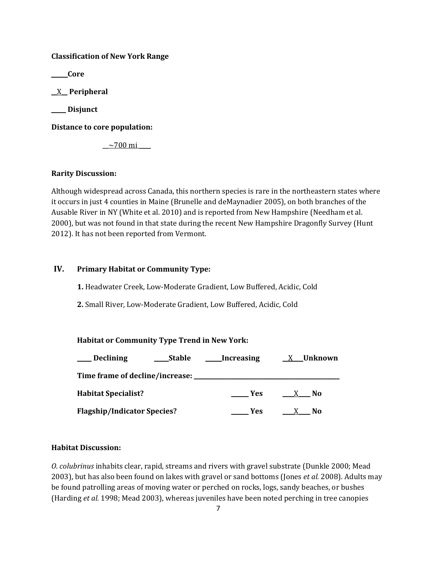### **Classification of New York Range**

**\_\_\_\_\_ Core**

**\_\_**X**\_\_ Peripheral**

**\_\_\_\_\_ Disjunct**

**Distance to core population:**

 $\sim$ 700 mi  $\_\_$ 

## **Rarity Discussion:**

Although widespread across Canada, this northern species is rare in the northeastern states where it occurs in just 4 counties in Maine (Brunelle and deMaynadier 2005), on both branches of the Ausable River in NY (White et al. 2010) and is reported from New Hampshire (Needham et al. 2000), but was not found in that state during the recent New Hampshire Dragonfly Survey (Hunt 2012). It has not been reported from Vermont.

# **IV. Primary Habitat or Community Type:**

**1.** Headwater Creek, Low-Moderate Gradient, Low Buffered, Acidic, Cold

**2.** Small River, Low-Moderate Gradient, Low Buffered, Acidic, Cold

# **Habitat or Community Type Trend in New York:**

| <b>Declining</b>                   | <b>Stable</b> | Increasing | X Unknown           |
|------------------------------------|---------------|------------|---------------------|
| Time frame of decline/increase:    |               |            |                     |
| <b>Habitat Specialist?</b>         |               | <b>Yes</b> | N <sub>0</sub><br>X |
| <b>Flagship/Indicator Species?</b> |               | <b>Yes</b> | N <sub>0</sub>      |

# **Habitat Discussion:**

*O. colubrinus* inhabits clear, rapid, streams and rivers with gravel substrate (Dunkle 2000; Mead 2003), but has also been found on lakes with gravel or sand bottoms (Jones *et al.* 2008). Adults may be found patrolling areas of moving water or perched on rocks, logs, sandy beaches, or bushes (Harding *et al.* 1998; Mead 2003), whereas juveniles have been noted perching in tree canopies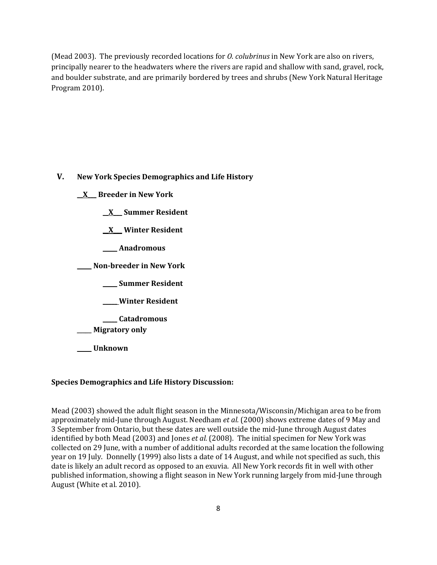(Mead 2003). The previously recorded locations for *O. colubrinus* in New York are also on rivers, principally nearer to the headwaters where the rivers are rapid and shallow with sand, gravel, rock, and boulder substrate, and are primarily bordered by trees and shrubs (New York Natural Heritage Program 2010).

**V. New York Species Demographics and Life History**

**\_\_X\_\_\_ Breeder in New York**

**\_\_X\_\_\_ Summer Resident**

**\_\_X\_\_\_ Winter Resident**

**\_\_\_\_\_ Anadromous**

**\_\_\_\_\_ Non-breeder in New York**

**\_\_\_\_\_ Summer Resident**

**\_\_\_\_\_ Winter Resident**

**\_\_\_\_\_ Catadromous**

\_\_\_\_\_ **Migratory only**

**\_\_\_\_\_ Unknown**

### **Species Demographics and Life History Discussion:**

Mead (2003) showed the adult flight season in the Minnesota/Wisconsin/Michigan area to be from approximately mid-June through August. Needham *et al.* (2000) shows extreme dates of 9 May and 3 September from Ontario, but these dates are well outside the mid-June through August dates identified by both Mead (2003) and Jones *et al.* (2008). The initial specimen for New York was collected on 29 June, with a number of additional adults recorded at the same location the following year on 19 July. Donnelly (1999) also lists a date of 14 August, and while not specified as such, this date is likely an adult record as opposed to an exuvia. All New York records fit in well with other published information, showing a flight season in New York running largely from mid-June through August (White et al. 2010).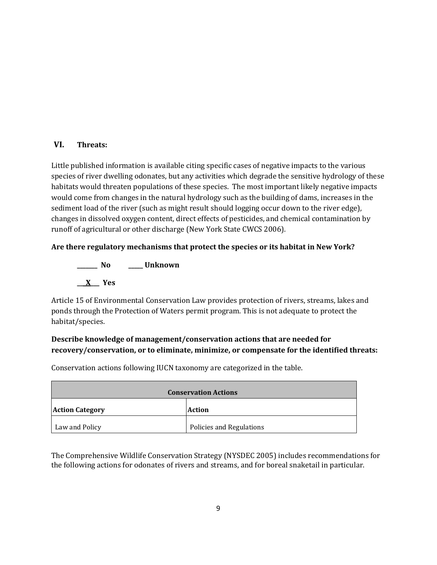# **VI. Threats:**

Little published information is available citing specific cases of negative impacts to the various species of river dwelling odonates, but any activities which degrade the sensitive hydrology of these habitats would threaten populations of these species. The most important likely negative impacts would come from changes in the natural hydrology such as the building of dams, increases in the sediment load of the river (such as might result should logging occur down to the river edge), changes in dissolved oxygen content, direct effects of pesticides, and chemical contamination by runoff of agricultural or other discharge (New York State CWCS 2006).

**Are there regulatory mechanisms that protect the species or its habitat in New York?**

**\_\_\_\_\_\_\_ No \_\_\_\_\_ Unknown \_\_\_X\_\_\_ Yes** 

Article 15 of Environmental Conservation Law provides protection of rivers, streams, lakes and ponds through the Protection of Waters permit program. This is not adequate to protect the habitat/species.

# **Describe knowledge of management/conservation actions that are needed for recovery/conservation, or to eliminate, minimize, or compensate for the identified threats:**

Conservation actions following IUCN taxonomy are categorized in the table.

| <b>Conservation Actions</b> |                          |
|-----------------------------|--------------------------|
| <b>Action Category</b>      | <b>Action</b>            |
| Law and Policy              | Policies and Regulations |

The Comprehensive Wildlife Conservation Strategy (NYSDEC 2005) includes recommendations for the following actions for odonates of rivers and streams, and for boreal snaketail in particular.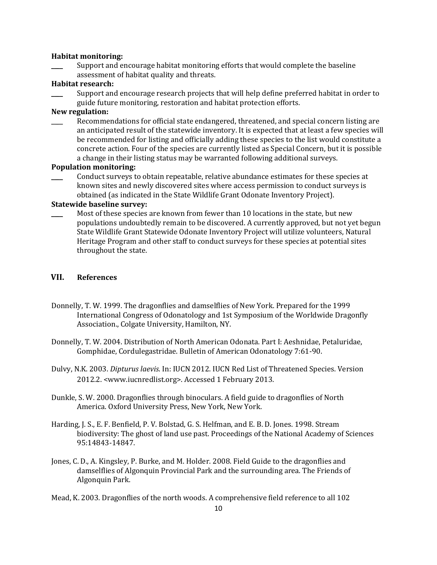#### **Habitat monitoring:**

Support and encourage habitat monitoring efforts that would complete the baseline assessment of habitat quality and threats.

### **Habitat research:**

Support and encourage research projects that will help define preferred habitat in order to guide future monitoring, restoration and habitat protection efforts.

### **New regulation:**

Recommendations for official state endangered, threatened, and special concern listing are an anticipated result of the statewide inventory. It is expected that at least a few species will be recommended for listing and officially adding these species to the list would constitute a concrete action. Four of the species are currently listed as Special Concern, but it is possible a change in their listing status may be warranted following additional surveys.

#### **Population monitoring:**

\_\_\_\_ Conduct surveys to obtain repeatable, relative abundance estimates for these species at known sites and newly discovered sites where access permission to conduct surveys is obtained (as indicated in the State Wildlife Grant Odonate Inventory Project).

### **Statewide baseline survey:**

Most of these species are known from fewer than 10 locations in the state, but new populations undoubtedly remain to be discovered. A currently approved, but not yet begun State Wildlife Grant Statewide Odonate Inventory Project will utilize volunteers, Natural Heritage Program and other staff to conduct surveys for these species at potential sites throughout the state.

### **VII. References**

- Donnelly, T. W. 1999. The dragonflies and damselflies of New York. Prepared for the 1999 International Congress of Odonatology and 1st Symposium of the Worldwide Dragonfly Association., Colgate University, Hamilton, NY.
- Donnelly, T. W. 2004. Distribution of North American Odonata. Part I: Aeshnidae, Petaluridae, Gomphidae, Cordulegastridae. Bulletin of American Odonatology 7:61-90.
- Dulvy, N.K. 2003. *Dipturus laevis*. In: IUCN 2012. IUCN Red List of Threatened Species. Version 2012.2. <www.iucnredlist.org>. Accessed 1 February 2013.
- Dunkle, S. W. 2000. Dragonflies through binoculars. A field guide to dragonflies of North America. Oxford University Press, New York, New York.
- Harding, J. S., E. F. Benfield, P. V. Bolstad, G. S. Helfman, and E. B. D. Jones. 1998. Stream biodiversity: The ghost of land use past. Proceedings of the National Academy of Sciences 95:14843-14847.
- Jones, C. D., A. Kingsley, P. Burke, and M. Holder. 2008. Field Guide to the dragonflies and damselflies of Algonquin Provincial Park and the surrounding area. The Friends of Algonquin Park.

Mead, K. 2003. Dragonflies of the north woods. A comprehensive field reference to all 102